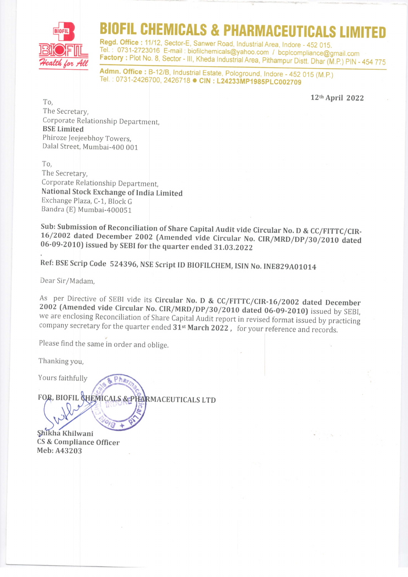

## **CHEMICALS & PHARMACEUTICALS LIMIT**

Regd. Office : 11/12, Sector-E, Sanwer Road, Industrial Area, Indore - 452 015.<br>Tel. : 0731-2723016 E-mail : biofilchemicals@yahoo.com / bcplcompliance@gmail.com Factory : Plot No. 8, Sector - III, Kheda Industrial Area, Pithampur Distt. Dhar (M.P.) PIN - 454 775

Admn. Office : B-12/B, Industrial Estate, Pologround, Indore - 452 015 (M.P.) Tel.: 0731-2426700, 2426718 · CIN: L24233MP1985PLC002709

L?th April 2022

To, The Secretary, Corporate Relationship Department, BSE Limited Phiroze Jeejeebhoy Towers, Dalal Street, Mumbai-400 001

To, The Secretary, Corporate Relationship Department, National Stock Exchange of India Limited Exchange Plaza, C-1, Block <sup>G</sup> Bandra [E) Mumbai-4000S1

Sub: Submission of Reconciliation of Share Capital Audit vide Circular No. D & CC/FITTC/CIR-<br>16/2002 dated December 2002 (Amended vide Circular No. CIR/MRD/DP/30/2010 dated<br>06-09-2010) issued by SEBI for the quarter ended

Ref: BSE Scrip Code 524396, NSE Script ID BIOFILCHEM, ISIN No. INE829A01014

Dear Sir/Madam,

As per Directive of SEBI vide its Circular No. D & CC/FITTC/CIR-16/2002 dated December 2002 (Amended vide Circular No. CIR/MRD/DP/30/2010 dated 06-09-2010) issued by SEBI, we are enclosing Reconciliation of Share Capital Audit report in revised format issued by practicing company secretary for the quarter ended  $31^{st}$  March 2022, for your reference and records.

Please find the same in order and oblige.

Thanking you,

Yours faithfully

FOR, BIOFIL CHEMICALS & PHARMACEUTICALS LTD

Phe

CS & Compliance Officer Meb: A43203 Shikha Khilwani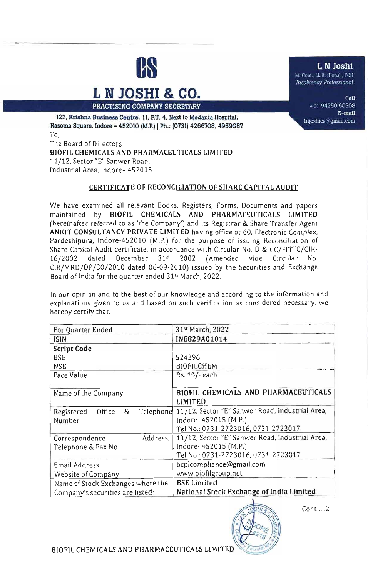

# $L N JOSHI & CO.$

**PRACTISING COMPANY SECRETARY** (11 THE 2012 OF 194250 60308

E-mail 122, Krishna Business Centre, 11, P.U. 4, Next to Medanta Hospital, lnioshics@gmail.com Rasoma Square, Indore - 452010 (M.P.) | Ph.: (0731) 4266708, 4959087 To, The Board of Directors BIOFIL CHEMICALS AND PHARMACEUTICALS LIMITED

11/12, Sector "E" Sanwer Road, Industrial Area, Indore- 452015

#### CERTIFICATE OF RECONCILIATION OF SHARE CAPITAL AUDIT

We have examined all relevant Books, Registers, Forms, Documents and papers maintained by BIOEIL CHEMICALS AND PHARMACEUTICALS LIMITED (hereinafter referred to as 'the Company') and its Registrar & Share Transfer Agent AN KIT CONSULTANCY PRIVATE LIMITED having office at 60, Electronic Complex, Pardeshipura, Indore-452010 (M.P.) for the purpose of issuing Reconciliation of Share Capital Audit certificate, in accordance with Circular No. D & CC/FITTC/CIR-16/2002 dated December 31" 2002 (Amended vide Circular No. CIR/MRD/DP/30/2010 dated 06-09-2010) issued by the Securities and Exchange Board of India for the quarter ended 31" March, 2022.

In our opinion and to the best of our knowledge and according to the information and explanations given to us and based on such verification as considered necessary, we hereby certify that:

| For Quarter Ended                                 | 31st March, 2022                                                                                                |
|---------------------------------------------------|-----------------------------------------------------------------------------------------------------------------|
| ISIN                                              | INE829A01014                                                                                                    |
| <b>Script Code</b>                                |                                                                                                                 |
| <b>BSE</b>                                        | 524396                                                                                                          |
| <b>NSE</b>                                        | BIOFILCHEM                                                                                                      |
| Face Value                                        | Rs. 10/- each                                                                                                   |
| Name of the Company                               | BIOFIL CHEMICALS AND PHARMACEUTICALS<br>LIMITED                                                                 |
| Telephone<br>&<br>Office<br>Registered<br>Number  | 11/12, Sector "E" Sanwer Road, industrial Area,<br>Indore- 452015 (M.P.)<br>Tel No.: 0731-2723016, 0731-2723017 |
| Address,<br>Correspondence<br>Telephone & Fax No. | 11/12, Sector "E" Sanwer Road, Industrial Area,<br>Indore- 452015 (M.P.)<br>Tel No.: 0731-2723016, 0731-2723017 |
| Email Address                                     | bcplcompliance@gmail.com                                                                                        |
| Website of Company                                | www.biofilgroup.net                                                                                             |
| Name of Stock Exchanges where the                 | <b>BSE Limited</b>                                                                                              |
| Company's securities are listed:                  | National Stock Exchange of India Limited                                                                        |



 $Cont....2$ 

BIOFIL CHEMICALS AND PHARMACEUTICALS LIMITED

**L N Joshi**<br> **M.** Com., LL.B. (Hons), FCS

M. Com., LL.B. (Hons), FCS Insolvency Professional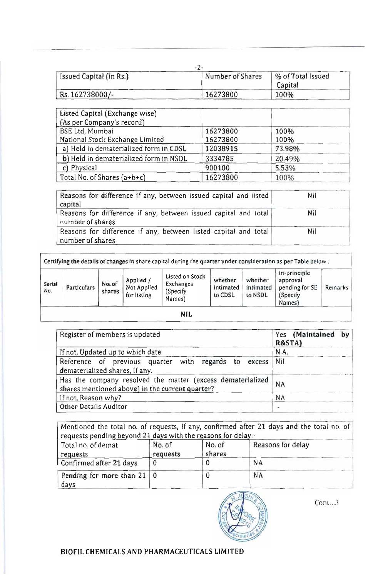| Issued Capital (in Rs.) | Number of Shares | % of Total Issued<br>Capital |
|-------------------------|------------------|------------------------------|
| Rs. 162738000/-         | 16273800         | 100%                         |

| Listed Capital (Exchange wise)         |          |        |
|----------------------------------------|----------|--------|
| (As per Company's record)              |          |        |
| <b>BSE Ltd, Mumbai</b>                 | 16273800 | 100%   |
| National Stock Exchange Limited        | 16273800 | 100%   |
| a) Held in dematerialized form in CDSL | 12038915 | 73.98% |
| b) Held in dematerialized form in NSDL | 3334785  | 20.49% |
| c) Physical                            | 900100   | 5.53%  |
| Total No. of Shares $(a+b+c)$          | 16273800 | 100%   |

| Reasons for difference if any, between issued capital and listed<br>capital         | Nil |
|-------------------------------------------------------------------------------------|-----|
| Reasons for difference if any, between issued capital and total<br>number of shares | Nil |
| Reasons for difference if any, between listed capital and total<br>number of shares | Nil |

|               |             |                  |                                         | Certifying the details of changes in share capital during the quarter under consideration as per Table below: |                                 |                                 |                                                                  |         |
|---------------|-------------|------------------|-----------------------------------------|---------------------------------------------------------------------------------------------------------------|---------------------------------|---------------------------------|------------------------------------------------------------------|---------|
| Serial<br>No. | Particulars | No. of<br>shares | Applied /<br>Not Applied<br>for listing | Listed on Stock<br>Exchanges<br>(Specify)<br>Names)                                                           | whether<br>intimated<br>to CDSL | whether<br>intimated<br>to NSDL | In-principle<br>approval<br>pending for SE<br>(Specify<br>Names) | Remarks |

| Register of members is updated                                                                                | Yes (Maintained<br>by<br>R&STA) |
|---------------------------------------------------------------------------------------------------------------|---------------------------------|
| If not, Updated up to which date                                                                              | N.A.                            |
| Reference of previous quarter with<br>regards<br>to<br>excess<br>dematerialized shares, If any.               | Nil                             |
| Has the company resolved the matter (excess dematerialized<br>shares mentioned above) in the current quarter? | <b>NA</b>                       |
| If not, Reason why?                                                                                           | <b>NA</b>                       |
| <b>Other Details Auditor</b>                                                                                  | $\sim$                          |

Mentioned the total no. of requests, If any, confirmed after 21 days and the total no. of<br>requests pending beyond 21 days with the reasons for delay:-<br>Total no. of demat No. of No. of Reasons for delay requests pending beyond 21 days with the reasons for delay:-

| Total no. of demat<br>requests            | No. of<br>requests | No. of<br>shares | Reasons for delay |
|-------------------------------------------|--------------------|------------------|-------------------|
| Confirmed after 21 days                   |                    |                  | <b>NA</b>         |
| Pending for more than $21 \mid 0$<br>days |                    |                  | <b>NA</b>         |



Cont. .. 3

BIOFIL CHEMICALS AND PHARMACEUTICALS LIMITED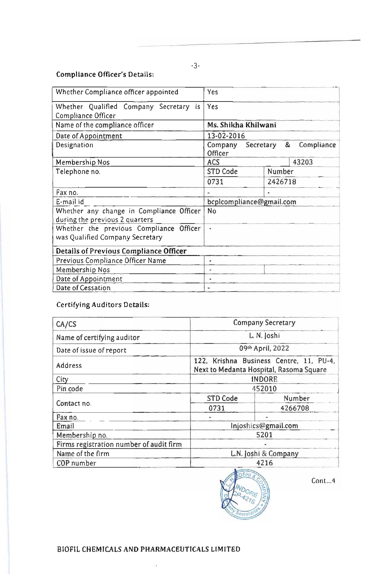### **Compliance Officer's Details:**

| Whether Compliance officer appointed                                       | Yes                                             |
|----------------------------------------------------------------------------|-------------------------------------------------|
| Whether Qualified Company Secretary is<br>Compliance Officer               | Yes                                             |
| Name of the compliance officer                                             | Ms. Shikha Khilwani                             |
| Date of Appointment                                                        | 13-02-2016                                      |
| Designation                                                                | &<br>Company Secretary<br>Compliance<br>Officer |
| Membership Nos                                                             | 43203<br><b>ACS</b>                             |
| Telephone no.                                                              | <b>STD Code</b><br>Number                       |
|                                                                            | 0731<br>2426718                                 |
| Fax no.                                                                    |                                                 |
| E-mail id                                                                  | bcplcompliance@gmail.com                        |
| Whether any change in Compliance Officer<br>during the previous 2 quarters | No                                              |
| Whether the previous Compliance Officer<br>was Qualified Company Secretary | Ŵ,                                              |
| Details of Previous Compliance Officer                                     |                                                 |
| Previous Compliance Officer Name                                           | ٠                                               |
| Membership Nos                                                             | ۰.                                              |
| Date of Appointment                                                        |                                                 |
| Date of Cessation                                                          |                                                 |

## **Certifying Auditors Details:**

| CA/CS                                   | <b>Company Secretary</b>                                                           |                      |  |
|-----------------------------------------|------------------------------------------------------------------------------------|----------------------|--|
| Name of certifying auditor              | L. N. Joshi                                                                        |                      |  |
| Date of issue of report                 | 09th April, 2022                                                                   |                      |  |
| Address                                 | 122, Krishna Business Centre, 11, PU-4,<br>Next to Medanta Hospital, Rasoma Square |                      |  |
| City                                    | <b>INDORE</b>                                                                      |                      |  |
| Pin code                                | 452010                                                                             |                      |  |
|                                         | STD Code                                                                           | Number               |  |
| Contact no.                             | 0731                                                                               | 4266708              |  |
| Fax no.                                 |                                                                                    |                      |  |
| Email                                   | Injoshics@gmail.com                                                                |                      |  |
| Membership no.                          | 5201                                                                               |                      |  |
| Firms registration number of audit firm |                                                                                    |                      |  |
| Name of the firm                        |                                                                                    | L.N. Joshi & Company |  |
| COP number                              |                                                                                    | 4216                 |  |



 $Cont...4$ 

BIOFIL CHEMICALS AND PHARMACEUTICALS LIMITED

l,